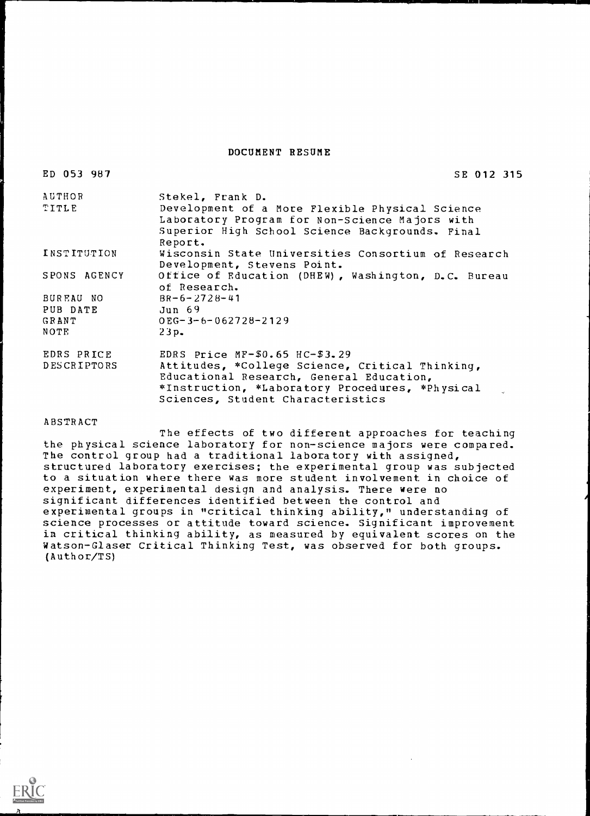DOCUMENT RESUME

ED 053 987

SE 012 315

| AUTHOR<br>TITLE | Stekel, Frank D.<br>Development of a More Flexible Physical Science<br>Laboratory Program for Non-Science Majors with<br>Superior High School Science Backgrounds. Final<br>Report. |
|-----------------|-------------------------------------------------------------------------------------------------------------------------------------------------------------------------------------|
| INSTITUTION     | Wisconsin State Universities Consortium of Research<br>Development, Stevens Point.                                                                                                  |
| SPONS AGENCY    | Office of Education (DHEW), Washington, D.C. Bureau<br>of Research.                                                                                                                 |
| BUREAU NO       | $BR - 6 - 2728 - 41$                                                                                                                                                                |
| PUB DATE        | Jun 69                                                                                                                                                                              |
| <b>GRANT</b>    | $0EG - 3 - 6 - 062728 - 2129$                                                                                                                                                       |
| NOTE            | $23p$ .                                                                                                                                                                             |
| EDRS PRICE      | EDRS Price $MF-$0.65$ HC- $$3.29$                                                                                                                                                   |
| DESCRIPTORS     | Attitudes, *College Science, Critical Thinking,<br>Educational Research, General Education,<br>*Instruction, *Laboratory Procedures, *Physical<br>Sciences, Student Characteristics |

#### ABSTRACT

The effects of two different approaches for teaching the physical science laboratory for non-science majors were compared. The control group had a traditional laboratory with assigned, structured laboratory exercises; the experimental group was subjected to a situation where there was more student involvement in choice of experiment, experimental design and analysis. There were no significant differences identified between the control and experimental groups in "critical thinking ability," understanding of science processes or attitude toward science. Significant improvement in critical thinking ability, as measured by equivalent scores on the Watson-Glaser Critical Thinking Test, was observed for both groups. (Author/TS)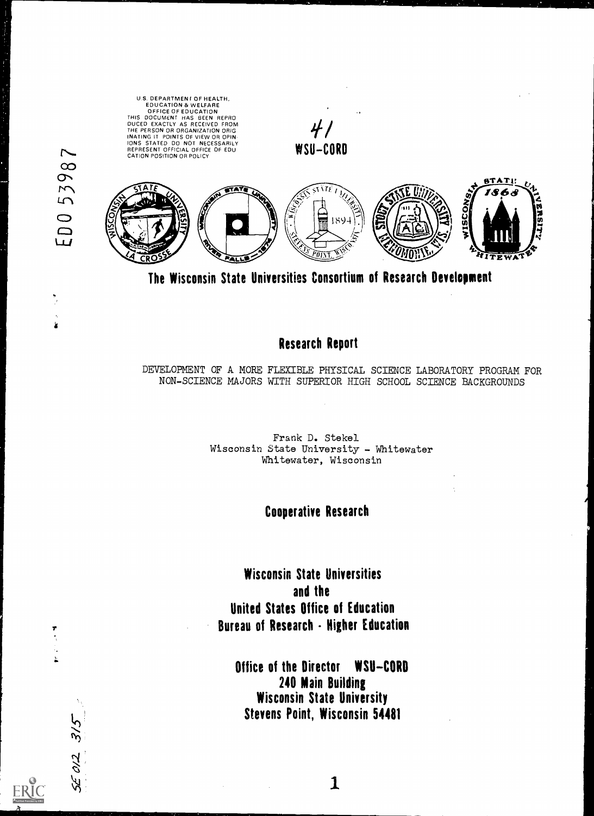US. DEPARTMENT OF HEALTH,<br>
EDUCATION & WELFARE<br>
OFFICE OF EDUCATION<br>
THIS DOCUMENT HAS BEEN REPROM<br>
THE PERSON OR ORGANIZATION ORIG<br>
THE PERSON OR ORGANIZATION ORIG<br>
INATING IT POINTS OF VIEW OR OPIN<br>
CATION POSITION OR PO **STATI: ISCONS,** ERSI 1894  $ITTWAT$ 

 $\overline{\phantom{0}}$ 

53987

O Q

w

 $\mathbf{\hat{z}}$ 

 $3/5$ 

 $\frac{\partial}{\partial \lambda}$ 

The Wisconsin State Universities Consortium of Research Development

# Research Report

DEVELOPMENT OF A MORE FLEXIBLE PHYSICAL SCIENCE LABORATORY PROGRAM FOR NON-SCIENCE MAJORS WITH SUPERIOR HIGH SCHOOL SCIENCE BACKGROUNDS

> Frank D. Stekel Wisconsin State University - Whitewater Whitewater, Wisconsin

## Cooperative Research

Wisconsin State Universities and the United States Office of Education Bureau of Research - Nigher Education

Office of the Director WSU-CORD 240 Main Building Wisconsin State University Stevens Point, Wisconsin 54481

1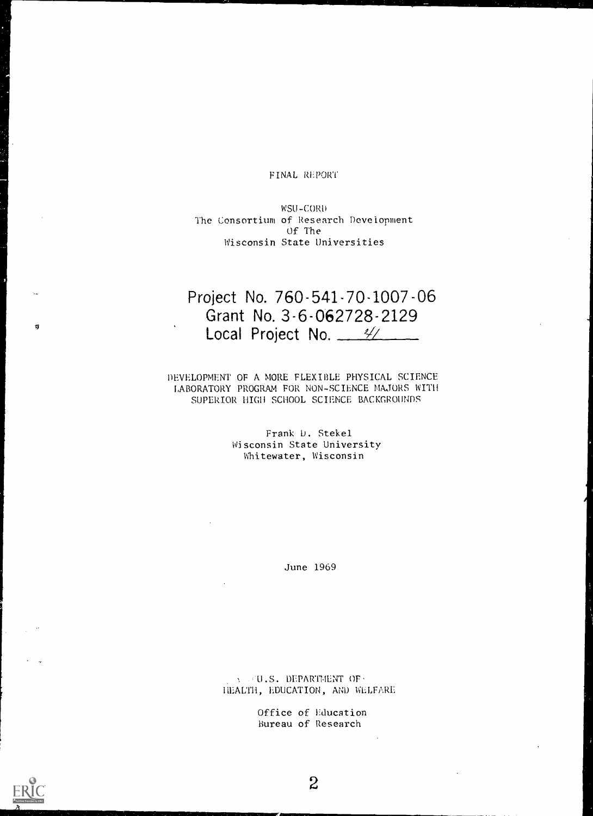#### FINAL REPORT

WSU-CORD The Consortium of Research Development Of The Wisconsin State Universities

# Project No. 760-541-70-1007-06 Grant No. 3-6-062728-2129 Local Project No. 4/

DEVELOPMENT OF A MORE FLEXIBLE PHYSICAL SCIENCE LABORATORY PROGRAM FOR NON-SCIENCE MAJORS WITH SUPERIOR HIGH SCHOOL SCIENCE BACKGROUNDS

> Frank D. Stekel Wisconsin State University Whitewater, Wisconsin

> > June 1969

U.S. DEPARTMENT OF HEALTH, EDUCATION, AND WELFARE

> Office of Education Bureau of Research

ŋ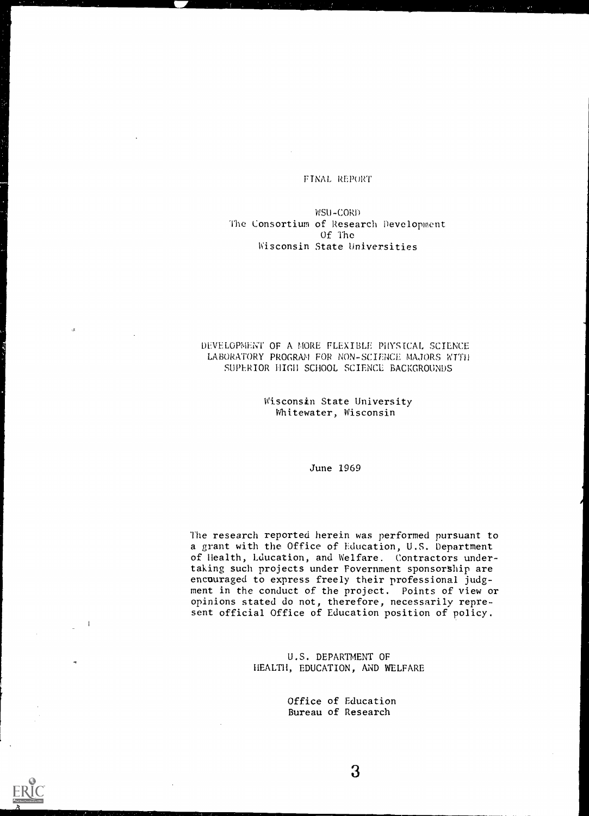### FINAL REPORT

WSU-CORO The Consortium of Research Development Of The Wisconsin State Universities

#### DEVELOPMENT OF A MORE FLEXIBLE PHYSICAL SCIENCE LABORATORY PROGRAM FOR NON-SCIENCE MAJORS WITH SUPERIOR HIGH SCHOOL SCIENCE BACKGROUNDS

#### Wisconsin State University Whitewater, Wisconsin

June 1969

The research reported herein was performed pursuant to a grant with the Office of Education, U.S. Department of Health, Education, and Welfare. Contractors undertaking such projects under Fovernment sponsorship are encouraged to express freely their professional judgment in the conduct of the project. Points of view or opinions stated do not, therefore, necessarily represent official Office of Education position of policy.

> U.S. DEPARTMENT OF HEALTH, EDUCATION, AND WELFARE

> > Office of Education Bureau of Research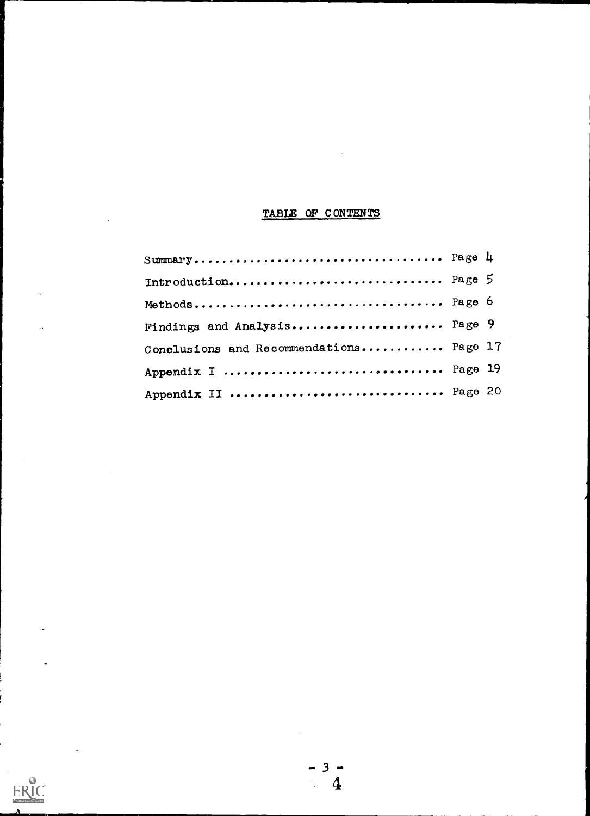# TABLE OF CONTENTS

 $\sim$ 

| Introduction Page 5                     |  |
|-----------------------------------------|--|
|                                         |  |
| Findings and Analysis Page 9            |  |
| Conclusions and Recommendations Page 17 |  |
| Appendix I  Page 19                     |  |
| Appendix II  Page 20                    |  |

 $\bar{\beta}$ 

 $ERIC$ 

 $3 - 4$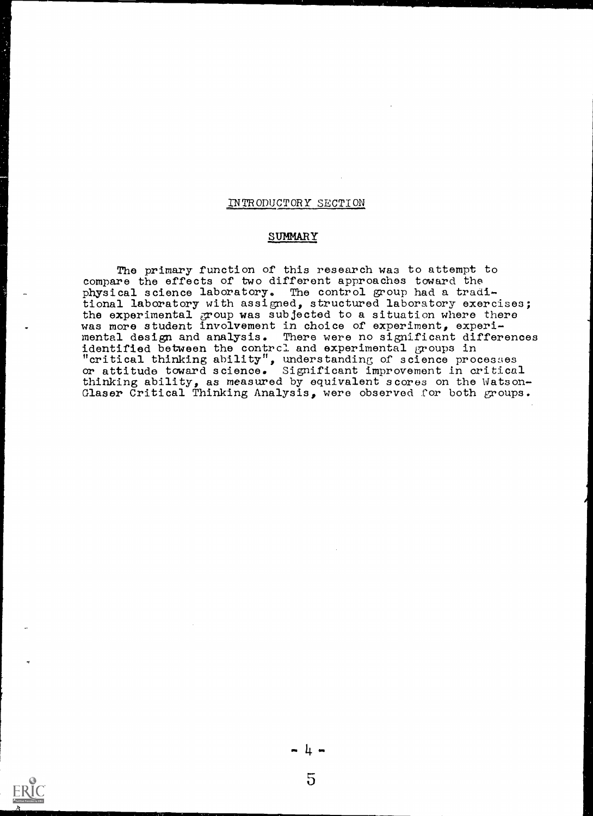#### INTRODUCTORY SECTION

#### SUMMARY

The primary function of this research was to attempt to compare the effects of two different approaches toward the physical science laboratory. The control group had a traditional laboratory with assigned, structured laboratory exercises; the experimental group was subjected to a situation where there was more student involvement in choice of experiment, experimental design and analysis. There were no significant differences identified between the contrcl and experimental groups in "critical thinking ability", understanding of science processes or attitude toward science. Significant improvement in critical thinking ability, as measured by equivalent scores on the Watson-Glaser Critical Thinking Analysis, were observed for both groups.



5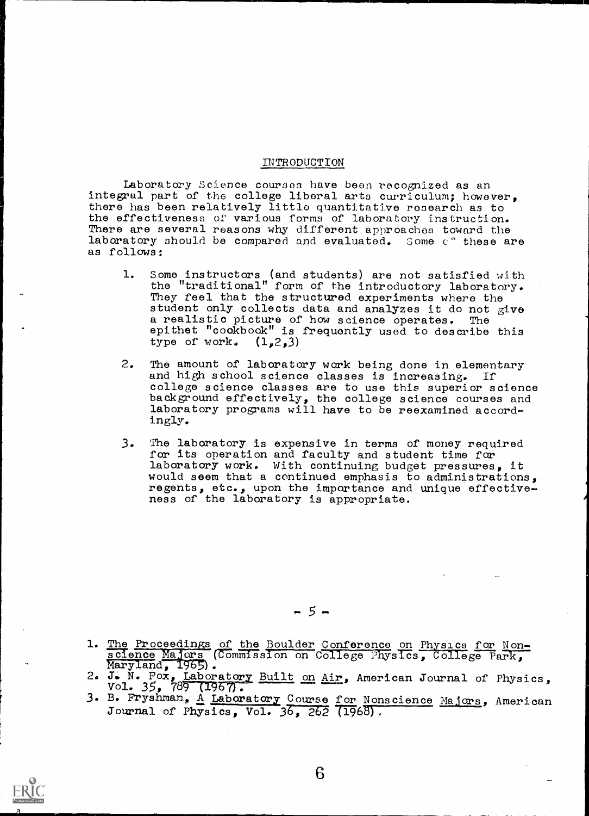#### INTRODUCTION

Laboratory Science courses have been recognized as an integral part of the college liberal arts curriculum; however, there has been relatively little quantitative research as to the effectiveness of various forms of laboratory instruction. There are several reasons why different approaches toward the laboratory should be compared and evaluated. Some c° these are as follows:

- 1. Some instructors (and students) are not satisfied with the "traditional" form of the introductory laboratory. They feel that the structured experiments where the student only collects data and analyzes it do not give a realistic picture of how science operates. The epithet "cookbook" is frequently used to describe this type of work.  $(1, 2, 3)$
- 2. The amount of laboratory work being done in elementary and high school science classes is increasing. If college science classes are to use this superior science background effectively, the college science courses and laboratory programs will have to be reexamined accordingly.
- 3. The laboratory is expensive in terms of money required for its operation and faculty and student time for laboratory work. With continuing budget pressures, it would seem that a continued emphasis to administrations, regents, etc., upon the importance and unique effectiveness of the laboratory is appropriate.

- 5 -

- 1. The Proceedings of the Boulder Conference on Physics for Nonscience Majors (Commission on College Physics, College Park, Maryland, 1965).
- 2. J. N. Fox, Laboratory Built on Air, American Journal of Physics, Vol. 35, 789 (1967).<br>3. B. Fryshman, <u>A Laboratory Course for Nonscience Majors</u>, American
- Journal of Physics, Vol.  $36$ ,  $262$  (1968).

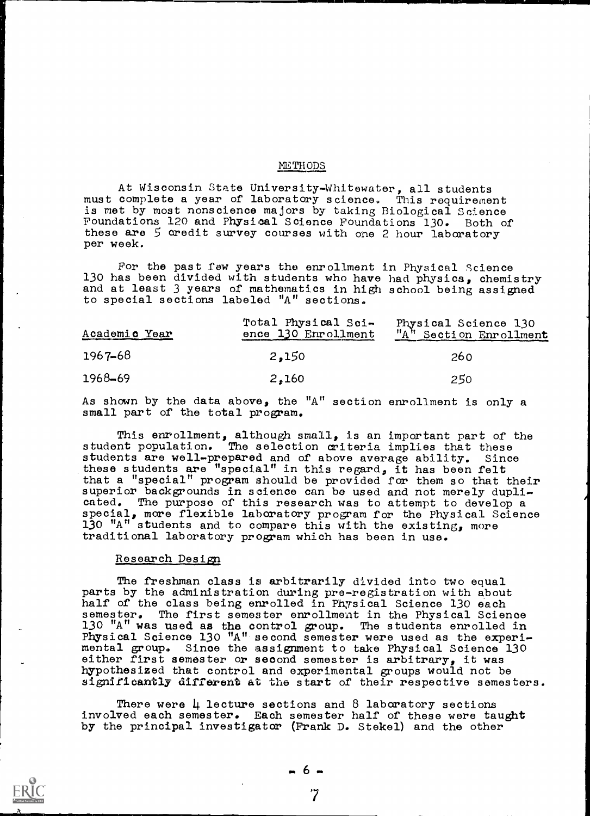#### METHODS

At Wisconsin State University-Whitewater, all students must complete a year of laboratory science. This requirement is met by most nonscience majors by taking Biological Science Foundations 120 and Physical Science Foundations 130. Both of these are 5 credit survey courses with one 2 hour laboratory per week.

For the past few years the enrollment in Physical Science 130 has been divided with students who have had physics, chemistry and at least 3 years of mathematics in high school being assigned to special sections labeled "A" sections.

| Academic Year | Total Physical Sci-<br>ence 130 Enrollment | Physical Science 130<br>"A" Section Enrollment |
|---------------|--------------------------------------------|------------------------------------------------|
| $1967 - 68$   | 2,150                                      | 260                                            |
| 1968-69       | 2.160                                      | 250                                            |

As shown by the data above, the "A" section enrollment is only a small part of the total program.

This enrollment, although small, is an important part of the student population. The selection criteria implies that these students are well-prepared and of above average ability. Since these students are "special" in this regard, it has been felt that a "special" program should be provided for them so that their superior backgrounds in science can be used and not merely duplicated. The purpose of this research was to attempt to develop a special, more flexible laboratory program for the Physical Science 130 " $A$ " students and to compare this with the existing, more traditional laboratory program which has been in use.

### Research Design

The freshman class is arbitrarily divided into two equal parts by the administration during pre-registration with about half of the class being enrolled in Physical Science 130 each semester. The first semester enrollment in the Physical Science 130 "A" was used as the control group. The students enrolled in Physical Science 130 "A" second semester were used as the experimental group. Since the assignment to take Physical Science 130 either first semester or second semester is arbitrary, it was hypothesized that control and experimental groups would not be significantly different at the start of their respective semesters.

There were  $\mu$  lecture sections and 8 laboratory sections involved each semester. Each semester half of these were taught by the principal investigator (Frank D. Stekel) and the other

7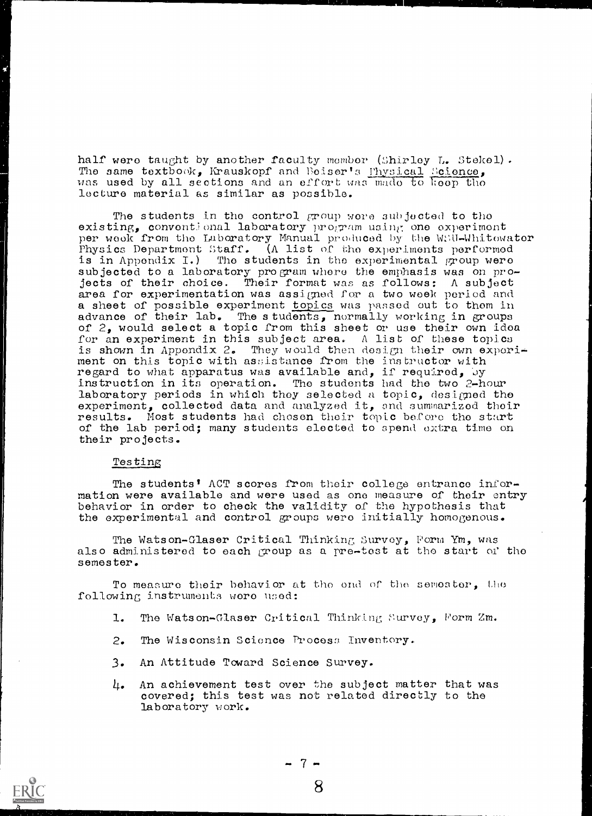half were taught by another faculty member (Shirley L. Stekel). The same textbook, Krauskopf and Beiser's Physical Science, was used by all sections and an effort was mado to keep tho lecture material as similar as possible.

The students in the control group were subjected to the existing, conventional laboratory program using one experiment per week from the Laboratory Manual produced by the W;\U-Whitowater Physics Department Staff. (A list of the experiments performed is in Appendix I.) The students in the experimental group were subjected to a laboratory program where the emphasis was on projects of their choice. Their format was as follows: A subject area for experimentation was assigned for a two week period and a sheet of possible experiment topics was passed out to them in advance of their lab. The students, normally working in groups of 2, would select a topic from this sheet or use their own idea for an experiment in this subject area. A list of these topics is shown in Appendix 2. They would then design their own exporiment on this topic with assistance from the ins bructor with regard to what apparatus was available and, if required, by instruction in its operation. The students had the two 2-hour laboratory periods in which they selected a topic, designed the experiment, collected data and analyzed it, and summarized their results. Most students had chosen their topic before the start of the lab period; many students elected to spend extra time on their projects.

### Testing

The students' ACT scores from their college entrance information were available and were used as one measure of their entry behavior in order to check the validity of the hypothesis that the experimental and control groups wero initially homogenous.

The Watson-Glaser Critical Thinking Survey, Form Ym, was also administered to each group as a pre-test at the start of the semester.

To measure their behavior at the end of the semester, the following instruments were used:

- 1. The Watson-Glaser Critical Thinking Survey, Form Zm.
- 2. The Wisconsin Science Process Inventory.
- 3. An Attitude Toward Science Survey.
- 4. An achievement test over the subject matter that was covered; this test was not related directly to the laboratory work.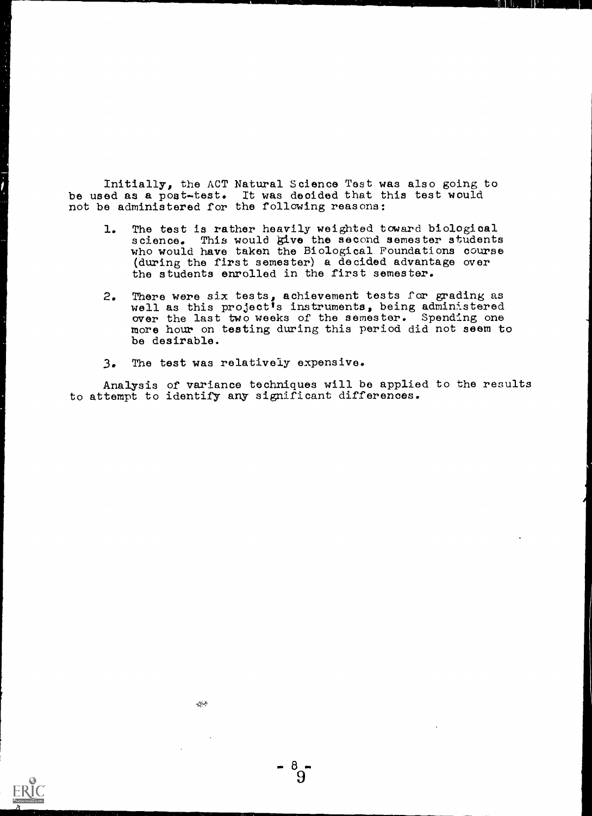Initially, the ACT Natural Science Test was also going to be used as a post-test. It was decided that this test would not be administered for the following reasons:

- 1. The test is rather heavily weighted toward biological science. This would give the second semester students who would have taken the Biological Foundations course (during the first semester) a decided advantage over the students enrolled in the first semester.
- 2. There were six tests, achievement tests for grading as well as this project's instruments, being administered over the last two weeks of the semester. Spending one more hour on testing during this period did not seem to be desirable.
- 3. The test was relatively expensive.

Analysis of variance techniques will be applied to the results to attempt to identify any significant differences.

 $^{\prime}9^{\prime}$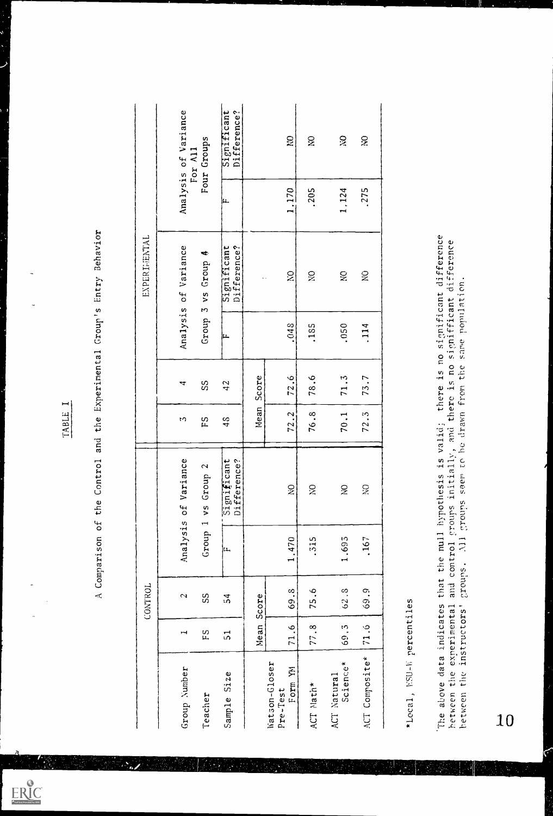$\mathcal{L}_{\mathcal{A}}$ 

ERIC

|                                                      |                                   | CONTROL         |                |                                                               |                            |       |                  | EXPERIMENTAL                                     |       |                            |
|------------------------------------------------------|-----------------------------------|-----------------|----------------|---------------------------------------------------------------|----------------------------|-------|------------------|--------------------------------------------------|-------|----------------------------|
| Group Number                                         | ⊶                                 | $\sim$          | Analysis       | of Variance                                                   | t۵                         | ᠴ     | Analysis         | of Variance                                      |       | Analysis of Variance       |
| Teacher                                              | ΕS                                | SS              | Group          | $\mathbf{\hat{z}}$<br>Group<br>V <sub>5</sub><br>$\mathbf{r}$ | Σą                         | SS    | Group            | ٣¢٠<br>Group<br>$\frac{5}{2}$<br>$\sim$          |       | Four Groups<br>For All     |
| Size<br>Sample                                       | $\overline{5}$                    | $\overline{5}4$ | Įμ,            | Significant<br>Difference?                                    | 48                         | 42    | ıщ.              | Significant<br>Difference?                       | ļμ.   | Significant<br>Difference? |
|                                                      | Mean Score                        |                 |                |                                                               | Mean                       | Score |                  | $\ddot{\phantom{1}}$ .                           |       |                            |
| Watson-Gloser<br>Ĕ<br>Form<br>Pre-Test               | $\ddot{\circ}$<br>$\overline{71}$ | 69.8            | 1.470          | $\widetilde{\mathbf{z}}$                                      | $\ddot{\phantom{0}}$<br>72 | 72.6  | 048              | $\tilde{\mathbf{z}}$                             | 1.170 | <b>D</b>                   |
| Nath*<br>ACT                                         | 77.8                              | 75.6            | .315           | $\gtrsim$                                                     | 76.8                       | 78.6  | .185             | $\gtrsim$                                        | .205  | $\gtrsim$                  |
| Science*<br>ACT Natural                              | 69.3                              | 62.8            | 1.695          | $\gtrapprox$                                                  | 70.1                       | 71.3  | .050             | Š                                                | 1.124 | $\gtrapprox$               |
| ACT Composite*                                       | 71.6                              | 69.9            | .167           | $\widetilde{\mathcal{Z}}$                                     | 72.3                       | 73.7  | .114             | $\gtrapprox$                                     | .275  | $\widetilde{\mathbf{X}}$   |
| *Local, NSU-W percentiles                            |                                   |                 |                |                                                               |                            |       |                  |                                                  |       |                            |
| The above data indicates<br>hetween the experimental |                                   |                 | and control    | groups initially, and there is no<br>that the null hypothesis | is valid;                  |       | signifficant     | there is no significant difference<br>difference |       |                            |
| between the                                          | instructors'                      | croups.         | $\overline{z}$ | seem to be drawn from the<br>Stinoria                         |                            |       | same population. |                                                  |       |                            |
| 10                                                   |                                   |                 |                |                                                               |                            |       |                  |                                                  |       |                            |

٨.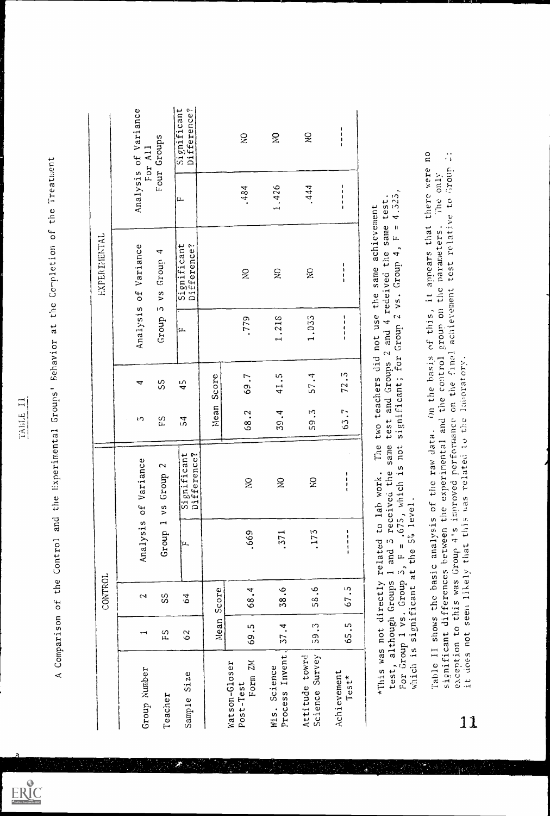$ER_{\overbrace{\hspace{1cm}}^{\hspace{1cm}} C}$ 

TABLE II<br>Let und the Experimental Groups' Behavior at the Completion of the Treatment<br>A Comparison of the Control and the Experimental Groups' Behavior at the Completion of the Treatment

|                                                                                      |               | CONTROL         |                                                                                         |                                                                                                                                                         |                      |                                                |                                                                   | EXPERIMENTAL                                                                  |                                                              |                                 |
|--------------------------------------------------------------------------------------|---------------|-----------------|-----------------------------------------------------------------------------------------|---------------------------------------------------------------------------------------------------------------------------------------------------------|----------------------|------------------------------------------------|-------------------------------------------------------------------|-------------------------------------------------------------------------------|--------------------------------------------------------------|---------------------------------|
|                                                                                      |               |                 |                                                                                         |                                                                                                                                                         |                      |                                                |                                                                   |                                                                               |                                                              |                                 |
| Group Number                                                                         | $\mathbf \pi$ | ٢N              |                                                                                         | Analysis of Variance                                                                                                                                    | ιU                   | 4                                              | Analysis                                                          | of Variance                                                                   |                                                              | Analysis of Variance<br>For All |
| Teacher                                                                              | ΕŚ            | SS              | Group 1                                                                                 | 2<br>Group<br>$\sqrt{5}$                                                                                                                                | ξS                   | SS                                             | Group                                                             | 4<br>Group<br>$\frac{5}{2}$<br>ıΩ                                             |                                                              | Four Groups                     |
| Size<br>Samp <sub>le</sub>                                                           | 62            | 64              | μ,                                                                                      | Significant<br>Difference?                                                                                                                              | $\frac{1}{2}$        | 45                                             | ļμ.                                                               | Significant<br>Difference?                                                    | عا                                                           | Significant<br>Difference?      |
|                                                                                      | Nean          | Score           |                                                                                         |                                                                                                                                                         | Mean                 | Score                                          |                                                                   |                                                                               |                                                              |                                 |
| 2M<br>Watson-Gloser<br>Form<br>Post-Test                                             | 69.5          | 68.4            | .669                                                                                    | $\gtrapprox$                                                                                                                                            | 68.2                 | 69.7                                           | .779                                                              | $\tilde{z}$                                                                   | .484                                                         | $\widetilde{\mathbf{S}}$        |
| Process Invent<br>Science<br>Wis.                                                    | 37.4          | 38.6            | .371                                                                                    | $\approx$                                                                                                                                               | 4.<br>55             | c,<br>$\overline{1}$                           | 1.218                                                             | $\gtrapprox$                                                                  | 1.426                                                        | š                               |
| Science Survey<br>Attitude towrd                                                     | 5.82          | 58.6            | .173                                                                                    | Š                                                                                                                                                       | $\ddot{\cdot}$<br>59 | 57.4                                           | 1.033                                                             | $\tilde{z}$                                                                   | .444                                                         | $\gtrapprox$                    |
| Achievement<br>$Test*$                                                               | 65.5          | 67.5            | $\frac{1}{1}$<br>1<br>ŧ                                                                 | $\frac{1}{1}$                                                                                                                                           | 63.7                 | 72.3                                           | $\mathbf{I}$<br>÷<br>$\pmb{\mathsf{I}}$<br>1<br>$\blacksquare$    | $\frac{1}{1}$                                                                 | л.<br>$\frac{1}{4}$<br>$\mathbf I$<br>$\mathbf{I}$           | 1<br>$\pmb{\cdot}$<br>1         |
| For Group 1 vs. Group<br>*This was not directly<br>test, although Groups<br>which is |               | significant     | i and 5 received<br>related to lab w<br>the 5% level.<br>$\frac{1}{2}$<br>$\frac{1}{2}$ | The<br>same<br>.675, which is not<br>the<br>ork.                                                                                                        | test<br>two          | and Groups                                     | teachers did not use<br>significant; for Group 2<br>$\mathcal{L}$ | achievement<br>same<br>vs. Group $4$ , F<br>and 4 redeived the<br>same<br>the | 4.525<br>test<br>$\pmb{\mathfrak{u}}$                        |                                 |
| Table II<br>11                                                                       |               | shows the basic | it does not seem likely that this was                                                   | exception to this was Group 4's improved performance<br>related to the<br>analysis of the raw data.<br>significant differences between the experimental |                      | on the final<br>and the control<br>laboratory. | achievement                                                       | (in the basis of this, it appears that<br>group on the parameters             | parameters. The only<br>test relative to Group<br>there were | no<br>$\frac{1}{2}$             |

 $\lambda$ s bul

ં દિ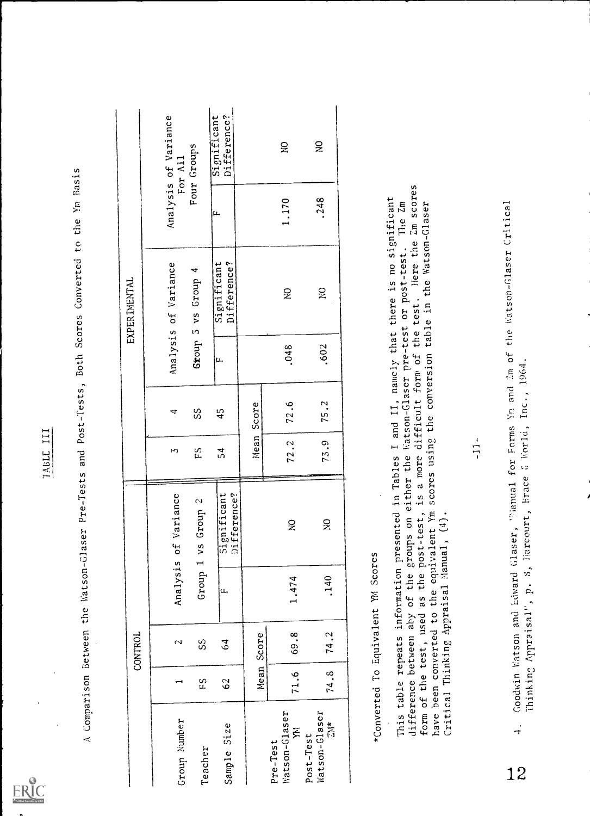

IABLE III<br>A Comparison Between the Watson-Glaser Pre-Tests and Post-Tests, Both Scores Converted to the Ym Basis

|              | Analysis of Variance<br>For All | Four Groups                                             | Significant<br>Difference? |       | $\gtrapprox$                   | $\mathbf{S}$                                 |                                                                                                                                                                     |                                         |                                                      |
|--------------|---------------------------------|---------------------------------------------------------|----------------------------|-------|--------------------------------|----------------------------------------------|---------------------------------------------------------------------------------------------------------------------------------------------------------------------|-----------------------------------------|------------------------------------------------------|
|              |                                 |                                                         | ستا                        |       | 1.170                          | .248                                         | Zm scores                                                                                                                                                           |                                         | Critical                                             |
| EXPERIMENTAL | of Variance                     | $\blacktriangleleft$<br>Group<br>ys<br>$\mathfrak{c}_1$ | Significant<br>Difference? |       | $\tilde{z}$                    | $\sum_{i=1}^{n}$                             | I and II, namely that there is no significant<br>Natson-Glaser pre-test or post-test. The Zm<br>in the Watson-Glaser<br>Here the<br>corpost-test.<br>test. Here the |                                         | the Watson-Glaser                                    |
|              | Analysis                        | Group                                                   | i۴.                        |       | .048                           | .602                                         | scores using the conversion table<br>the                                                                                                                            |                                         | $2m$ of                                              |
|              | 4                               | SS                                                      | 45                         | Score | 72.6                           | J.<br>75                                     | difficult form of                                                                                                                                                   |                                         | Inc., 1964<br>Ym and                                 |
|              | S                               | ΕS                                                      | $\frac{1}{2}$              | Mean  | 72.2                           | <u>ှ</u><br>73                               |                                                                                                                                                                     | $\ddot{\phantom{1}}$<br>$\overline{11}$ | for Forms<br>G World,                                |
|              | of Variance                     | vs Group 2                                              | Significant<br>Difference? |       | $\widetilde{\mathbf{z}}$       | $\widetilde{\mathbf{z}}$                     | either the<br>is a more<br>in Tables<br>of the test, used as the post-test,<br>been converted to the equivalent Ym<br>table repeats information presented           |                                         | Thinking Appraisal", p. 8, Harcourt, Brace<br>Tanual |
|              | Analysis                        | Group 1                                                 | ļμ,                        |       | 1.474                          | .140                                         | difference between aby of the groups on<br>Critical Thinking Appraisal Manual, (4)<br>*Converted To Equivalent YM Scores                                            |                                         | Goodwin Watson and Edward Glaser,                    |
| CONTROL      | $\sim$                          | S <sub>2</sub>                                          | $\overline{3}$             | Score | 69.8                           | 74.2                                         | form of the test, used                                                                                                                                              |                                         |                                                      |
|              | ⊣                               | ΕS                                                      | 62                         | Mean  | 71.6                           | 74.8                                         |                                                                                                                                                                     |                                         |                                                      |
|              | Group Number                    | Teacher                                                 | Sample Size                |       | Watson-Glaser<br>Ē<br>Pre-Test | Watson-Glaser<br>$\frac{1}{10}$<br>Post-Test | This<br>have                                                                                                                                                        |                                         | $\frac{1}{\tau}$<br>12                               |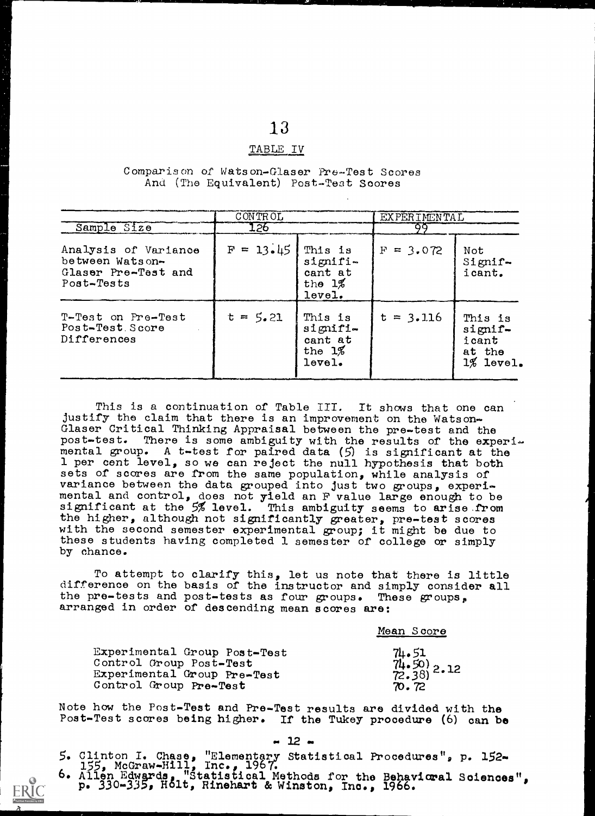# 13 TABLE IV

#### Comparison of Watson-Glaser Pre-Test Scores And (The Equivalent) Post-Test Scores

|                                                                              | CONTROL     |                                                       | <b>EXPERIMENTAL</b> |                                                       |
|------------------------------------------------------------------------------|-------------|-------------------------------------------------------|---------------------|-------------------------------------------------------|
| Sample Size                                                                  | 126         |                                                       | ٥o                  |                                                       |
| Analysis of Variance<br>between Watson-<br>Glaser Pre-Test and<br>Post-Tests | $F = 13.45$ | This is<br>signifi-<br>cant at<br>the $1\%$<br>level. | $F = 3.072$         | Not<br>Simpl<br>icant.                                |
| T-Test on Pre-Test<br>Post-Test Score<br>Differences                         | $t = 5.21$  | This is<br>signifi-<br>cant at<br>the $1\%$<br>level. | $t = 3.116$         | This is<br>signif-<br>icant<br>at the<br>$1\%$ level. |

This is a continuation of Table III. It shows that one can justify the claim that there is an improvement on the Watson-Glaser Critical Thinking Appraisal between the pre-test and the post-test. There is some ambiguity with the results of the experimental group. A t-test for paired data  $(5)$  is significant at the 1 per cent level, so we can reject the null hypothesis that both sets of scores are from the same population, while analysis of variance between the data grouped into just two groups, experimental and control, does not yield an F value large enough to be significant at the 5% level. This ambiguity seems to arise .from the higher, although not significantly greater, pre-test scores with the second semester experimental group; it might be due to these students having completed 1 semester of college or simply by chance.

To attempt to clarify this, let us note that there is little difference on the basis of the instructor and simply consider all the pre-tests and post-tests as four groups. These groups, arranged in order of descending mean scores are:

|                                                                                                                  | Mean Score                                    |  |
|------------------------------------------------------------------------------------------------------------------|-----------------------------------------------|--|
| Experimental Group Post-Test<br>Control Group Post-Test<br>Experimental Group Pre-Test<br>Control Group Pre-Test | $74.51$<br>$74.50$<br>$72.38$ ) 2.12<br>70.72 |  |

Note how the Post-Test and Pre-Test results are divided with the Post-Test scores being higher. If the Tukey procedure (6) can be

 $-12 -$ 

5. Clinton I. Chase, "Elementary Statistical Procedures", p. 152- 155, McGraw-Hill, Inc., 196T. 6. Allen Edwards. "Statistical Methods for the Behavioral Sciences", p. 330-335, Holt, Rinehart & Winston, Inc., 1966.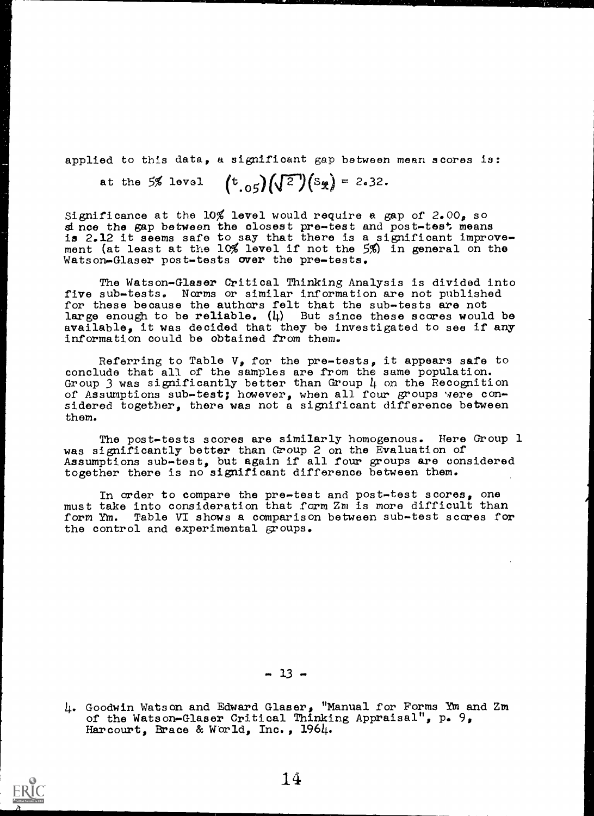applied to this data, a significant gap between mean scores is:

at the 5% level  $(t_{.05})\sqrt{2}(s_{\mathcal{R}}) = 2.32$ .

Significance at the  $10\%$  level would require a gap of 2.00, so since the gap between the closest pre-test and post-test means is 2.12 it seems safe to say that there is a significant improvement (at least at the 10% level if not the 5%) in general on the Watson-Glaser post-tests over the pre-tests.

The Watson-Glaser Critical Thinking Analysis is divided into five sub-tests. Norms or similar information are not published for these because the authors felt that the sub-tests are not large enough to be reliable. (4) But since these scares would be available, it was decided that they be investigated to see if any information could be obtained from them.

Referring to Table  $V$ , for the pre-tests, it appears safe to conclude that all of the samples are from the same population. Group 3 was significantly better than Group  $\mu$  on the Recognition of Assumptions sub-test; however, when all four groups were considered together, there was not a significant difference between them.

The post-tests scores are similarly homogenous. Here Group 1 was significantly better than Group 2 on the Evaluation of Assumptions sub-test, but again if all four groups are considered together there is no significant difference between them.

In order to compare the pre-test and post-test scores, one must take into consideration that form Zm is more difficult than form Ym. Table VI shows a comparison between sub-test scores for the control and experimental groups.

 $-13 -$ 

<sup>4.</sup> Goodwin Watson and Edward Glaser, "Manual for Forms Yin and Zm of the Watson-Glaser Critical Thinking Appraisal", p. 9, Harcourt, Brace & World, Inc., 1964.

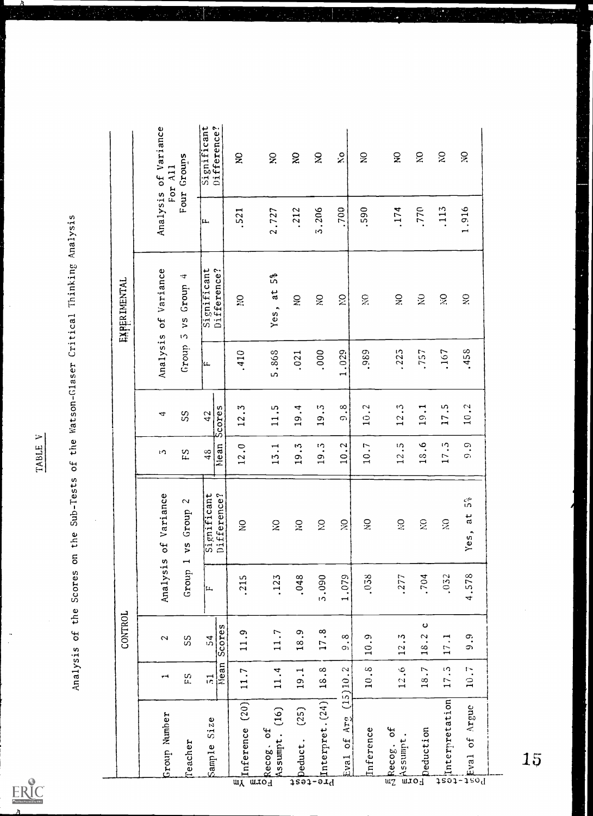|                                                                                                                                                                                      |                        | CONTROL                                               |          |                                                        |                                        |                           |          | <b>EXPERIMENTAL</b>             |                        |                                 |
|--------------------------------------------------------------------------------------------------------------------------------------------------------------------------------------|------------------------|-------------------------------------------------------|----------|--------------------------------------------------------|----------------------------------------|---------------------------|----------|---------------------------------|------------------------|---------------------------------|
| Group Number                                                                                                                                                                         | ۳۹                     | $\sim$                                                | Analysis | of Variance                                            | ŀΩ                                     | ₹                         | Analysis | Variance<br><b>SP</b>           |                        | Analysis of Variance<br>For All |
| Teacher                                                                                                                                                                              | S<br>F                 | SS                                                    | Group 1  | $\mathbf{\hat{z}}$<br>Group<br>ys                      | ΕS                                     | SS                        | Group    | Φ<br>Group<br>$v_{s}$<br>$\cup$ |                        | Four Groups                     |
| Size<br>Sample                                                                                                                                                                       | Nean<br>$\overline{5}$ | Scores<br>$\mathbf{z}$                                | ļμ.      | icant<br>Difference?<br>Signif                         | Nean<br>48                             | Scores<br>42              | ļu.      | Significant<br>Difference?      | ļIJ.                   | Significant<br>Difference?      |
| (20)<br>Inference<br>$\overline{\mathfrak{m}}$                                                                                                                                       | 11.7                   | 11.9                                                  | .215     | $\tilde{z}$                                            | $\ddot{\circ}$<br>12                   | ς.<br>12                  | .410     | Ω₫                              | 521                    | $\widetilde{\mathbf{z}}$        |
| (16)<br>$\mathfrak{b}^{\mathsf{c}}$<br>Assumpt.<br>mrod                                                                                                                              | 11.4                   | 11.7                                                  | .123     | $\tilde{\mathbf{x}}$                                   | $\mathbf{r}$<br>13                     | ςu<br>$\overline{11}$     | 5.868    | 5%<br>at<br>Yes,                | 2.727                  | $\widetilde{\mathbf{x}}$        |
|                                                                                                                                                                                      | 19.1                   | 18.9                                                  | .048     | S                                                      | 19.3                                   | 19.4                      | .021     | $\mbox{g}$                      | .212                   | $\approx$                       |
| $\begin{bmatrix} \frac{1}{2} & \frac{1}{2} & \frac{1}{2} \\ \frac{1}{2} & \frac{1}{2} \end{bmatrix}$                                                                                 | 18.8                   | 17.8                                                  | 5.090    | Š                                                      | ړ،<br>پ<br>19                          | יי<br>י<br>$\overline{0}$ | .000     | $\gtrsim$                       | 3.206                  | $\gtrsim$                       |
| Arg<br>5 <sup>o</sup><br>Eva1                                                                                                                                                        | (15)10.2               | $\infty$<br>O)                                        | 1.079    | $\tilde{\mathbf{S}}$                                   | 10.2                                   | $\infty$<br>Ó             | 1.029    | $\tilde{\mathbf{K}}$            | .700                   | $\mathbf{S}$                    |
| Inference                                                                                                                                                                            | 10.8                   | <u>ှ</u><br>$\overline{a}$                            | 0.58     | $\frac{1}{2}$                                          | 10.7                                   | $\ddot{c}$<br>$\Omega$    | ,989     | $\widetilde{\mathbb{R}}$        | .590                   | $\mathbb{S}$                    |
| ЪÇ<br>Assumpt<br>Recog.<br>$\overline{wz}$                                                                                                                                           | 12.6                   | ی.<br>•<br>12                                         | .277     | ں<br>پڑ                                                | ıΛ<br>12                               | 12.3                      | 225      | $\widetilde{\mathbf{z}}$        | .174                   | $\mathbf{S}$                    |
| Deduction<br>Form                                                                                                                                                                    | $\overline{ }$<br>18   | $\mathbf o$<br>$\ddot{\phantom{0}}$<br>$\frac{8}{10}$ | .704     | Š                                                      | $\tilde{\mathbf{c}}$<br>$\frac{8}{10}$ | 19.1                      | .757     | $\gtrsim$                       | .770                   | $\gtrsim$                       |
|                                                                                                                                                                                      | 17.5                   | 17.1                                                  | .052     | $\tilde{\mathbf{z}}$                                   | ن.<br>ا<br>17                          | 17.5                      | .167     | $\tilde{\mathbf{S}}$            | .113                   | $\mathbf{S}$                    |
| $\begin{array}{c}\n\text{if}\n\text{interpretation}\n\text{if}\n\text{and}\n\text{if}\n\text{and}\n\text{if}\n\text{and}\n\text{if}\n\text{and}\n\text{if}\n\text{and}\n\end{array}$ | $10.7$                 | 9.9                                                   | 4.578    | م<br>م<br>$\mathfrak{a}$<br>$\hat{\phantom{a}}$<br>Yes | ာ့<br>Ò.                               | 10.2                      | .458     | $\mathbb{S}^2$                  | ,916<br>$\overline{ }$ | $\widetilde{\mathbf{S}}$        |

W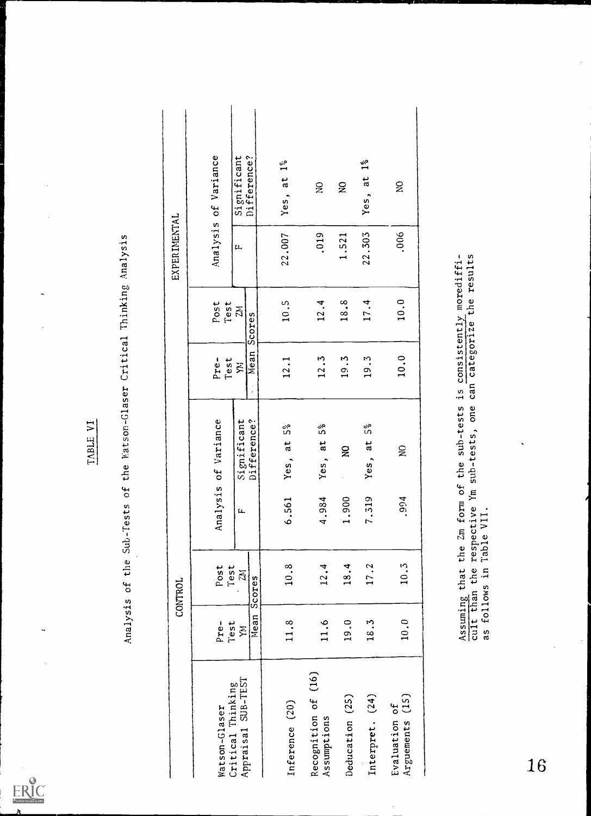

 $\ddot{ }$ 

TABLE VI<br>Analysis of the Sub-Tests of the Watson-Glaser Critical Thinking Analysis

|                                            |                   | CONTROL                        |                        |                                                                                           |                        |                                        | EXPERIMENTAL |                             |  |
|--------------------------------------------|-------------------|--------------------------------|------------------------|-------------------------------------------------------------------------------------------|------------------------|----------------------------------------|--------------|-----------------------------|--|
| Watson-Glaser                              | Pre-              | Post<br>Test                   |                        | Analysis of Variance                                                                      | Pre-<br>Test           | Post<br>Test                           |              | Analysis of Variance        |  |
| SUB-TEST<br>Critical Thinking<br>Appraisal | Mean<br>Test<br>Ă | 2M<br>Scores                   | f t                    | Difference?<br>Significant                                                                | Mean<br>X <sup>1</sup> | 21<br>Scores                           | $\mu$        | Difference?<br>Significant  |  |
| Inference (20)                             | 11.8              | 10.8                           | 561<br>:<br>ہ          | 5%<br>$a$ t<br>Yes,                                                                       | 12.1                   | 10.5                                   | 22.007       | $1\degree$<br>Yes, at       |  |
| Recognition of (16)<br>Assumptions         | 11.6              | 12.4                           | 984<br>4.3             | م<br>م<br>a<br>Yes,                                                                       | 12.3                   | 12.4                                   | .019         | $\widetilde{\mathbf{z}}$    |  |
| Deducation (25)                            | 19.0              | 18.4                           | 900<br>$\ddot{ }$ :    | $\mathbf{g}$                                                                              | 19.3                   | 18.8                                   | 1.521        | $\mathsf{S}$                |  |
| Interpret. (24)                            | 18.3              | 17.2                           | 7.319                  | 5%<br>$\ddot{a}$<br>Yes,                                                                  | 19.3                   | 17.4                                   | 22.303       | $\frac{5}{10}$<br>đ<br>Yes, |  |
| $(15)$<br>Evaluation of<br>Arguements      | 10.0              | 10.3                           | .994                   | $\widetilde{\mathbf{z}}$                                                                  | 10.0                   | 10.0                                   | ,006         | $\tilde{\mathbf{z}}$        |  |
|                                            |                   |                                |                        | respective Ym sub-tests, one can categorize<br>Assuming that the Zm form of the sub-tests | $\frac{5}{1}$          | the results<br>consistently morediffi- |              |                             |  |
|                                            |                   | cult than the<br>as follows in | $\bullet$<br>Table VII |                                                                                           |                        |                                        |              |                             |  |
| 16                                         |                   |                                |                        |                                                                                           |                        |                                        |              |                             |  |

 $\hat{\boldsymbol{\beta}}$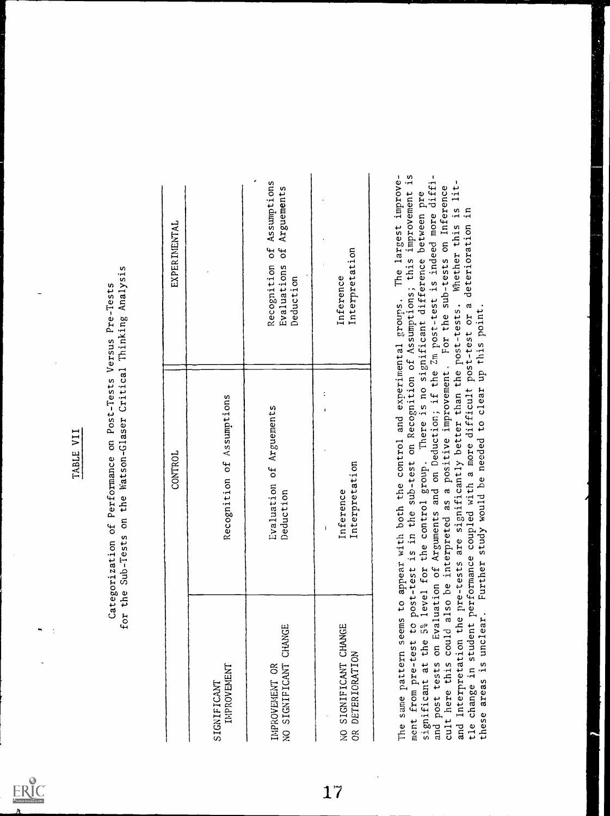|                                                                                            | for the Sub-Tests on the Watson-Glaser Critical Thinking Analysis<br>Categorization of Performance on Post-Tests Versus Pre-Tests                                                                                                                                                                                                                                                                                                                                                                                                                                                                                                         |                                                                                               |
|--------------------------------------------------------------------------------------------|-------------------------------------------------------------------------------------------------------------------------------------------------------------------------------------------------------------------------------------------------------------------------------------------------------------------------------------------------------------------------------------------------------------------------------------------------------------------------------------------------------------------------------------------------------------------------------------------------------------------------------------------|-----------------------------------------------------------------------------------------------|
|                                                                                            | CONTROL                                                                                                                                                                                                                                                                                                                                                                                                                                                                                                                                                                                                                                   | EXPERIMENTAL                                                                                  |
| IMPROVEMENT<br>SIGNIFICANT                                                                 | Recognition of Assumptions                                                                                                                                                                                                                                                                                                                                                                                                                                                                                                                                                                                                                |                                                                                               |
| NO SIGNIFICANT CHANGE<br>IMPROVEMENT OR                                                    | Evaluation of Arguements<br>Deduction                                                                                                                                                                                                                                                                                                                                                                                                                                                                                                                                                                                                     | Assumptions<br>of Arguements<br>Recognition of<br>Evaluations<br>Deduction                    |
| SIGNIFICANT CHANGE<br>DETERIORATION<br>g<br>ş                                              | Interpretation<br>Inference                                                                                                                                                                                                                                                                                                                                                                                                                                                                                                                                                                                                               | Interpretation<br>Inference                                                                   |
| ment from pre-test to post-test<br>and post tests on Evaluation<br>these areas is unclear. | of Arguments and on Deduction; if the Zm post-test is indeed more diffi-<br>and Interpretation the pre-tests are significantly better than the post-tests. Whether this is lit-<br>cult here this could also be interpreted as a positive improvement. For the sub-tests on Inference<br>significant at the 5% level for the control group. There is no significant difference between pre<br>tle change in student performance coupled with a more difficult post-test or a deterioration in<br>The same pattern seems to appear with both the control and experimental groups.<br>Further study would be needed to clear up this point. | is in the sub-test on Recognition of Assumptions; this improvement is<br>The largest improve- |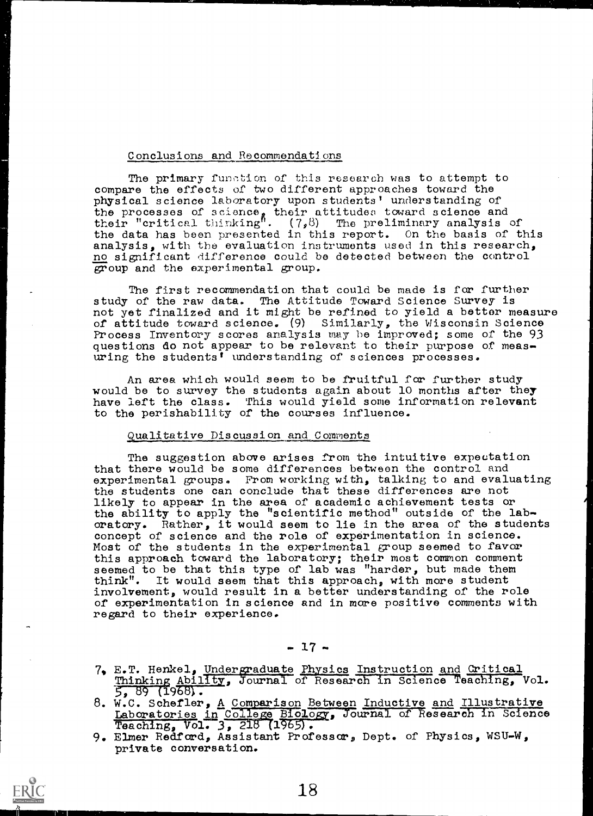#### Conclusions and Recommendations

The primary function of this research was to attempt to compare the effects of two different approaches toward the physical science laboratory upon students' understanding of the processes of science, their attitudes toward science and their "critical thinking".  $(7,8)$  The preliminary analysis of the data has been presented in this report. On the basis of this analysis, with the evaluation instruments used in this research, no significant difference could be detected between the control group and the experimental group.

The first recommendation that could be made is for further study of the raw data. The Attitude Toward Science Survey is not yet finalized and it might be refined to yield a bettor measure of attitude toward science. (9) Similarly, the Wisconsin Science Process Inventory scores analysis may be improved; some of the 93 questions do not appear to be relevant to their purpose of measuring the students' understanding of sciences processes.

An area which would seem to be fruitful for further study would be to survey the students again about 10 months after they have left the class. This would yield some information relevant to the perishability of the courses influence.

#### Qualitative Discussion and Comments

The suggestion above arises from the intuitive expectation that there would be some differences between the control and experimental groups. From working with, talking to and evaluating the students one can conclude that these differences are not likely to appear in the area of academic achievement tests or the ability to apply the "scientific method" outside of the laboratory. Rather, it would seem to lie in the area of the students concept of science and the role of experimentation in science. Most of the students in the experimental group seemed to favor this approach toward the laboratory; their most common comment seemed to be that this type of lab was "harder, but made them think". It would seem that this approach, with more student involvement, would result in a better understanding of the role of experimentation in science and in more positive comments with regard to their experience.

 $-17 -$ 

7, E.T. Henkel, Undergraduate Physics Instruction and Critical Thinking Ability, Journal of Research in Science Teaching, Vol.  $5, 89$  (1968).

8. W.C. Schefler, A Comparison Between Inductive and Illustrative Laboratories in College Biology, Journal of Research in Science Teaching, Vol. 3, 218  $(1965)$ .

9. Elmer Redford, Assistant Professor, Dept. of Physics, WSU-W, private conversation.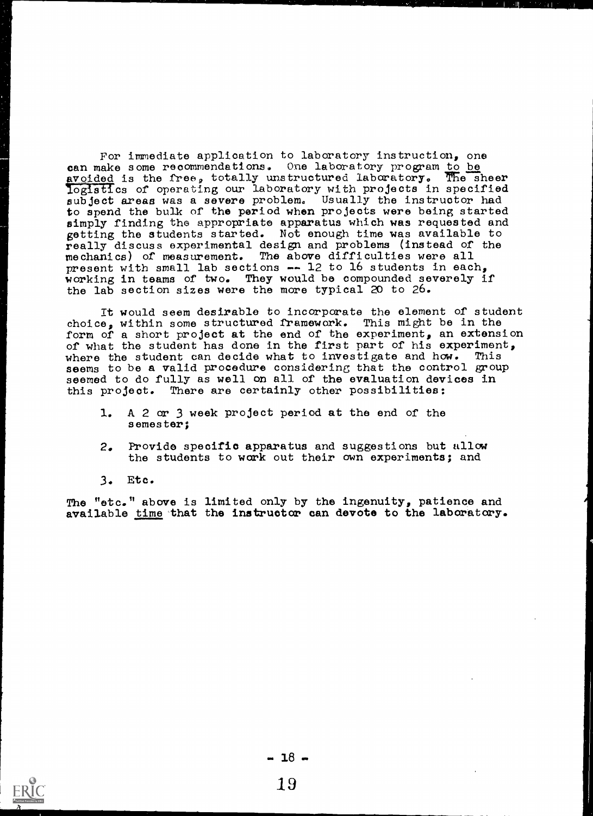For immediate applioation to laboratory instruction, one can make some recommendations. One laboratory program to be avoided is the free, totally unstructured laboratory. The sheer avoided is the free, totally unstructured laboratory.  $logist\$ cs of operating our laboratory with projects in specified subject areas was a severe problem. Usually the instructor had to spend the bulk of the period when projects were being started simply finding the appropriate apparatus which was requested and getting the students started. Not enough time was available to really discuss experimental design and problems (instead of the mechanics) of measurement. The above difficulties were all present with small lab sections  $-$  12 to 16 students in each, working in teams of two. They would be compounded severely if the lab section sizes were the more typical 20 to 26.

It would seem desirable to incorporate the element of student choice, within some structured framework. This might be in the form of a short project at the end of the experiment, an extension of what the student has done in the first part of his experiment, where the student can decide what to investigate and how. This seems to be a valid procedure considering that the control group seemed to do fully as well on all of the evaluation devices in this project. There are certainly other possibilities:

- 1. A 2 ar 3 week project period at the end of the semester;
- 2. Provide specific apparatus and suggestions but allow the students to work out their own experiments; and
- 3. Etc.

The "etc." above is limited only by the ingenuity, patience and available time that the instructor can devote to the laboratory.

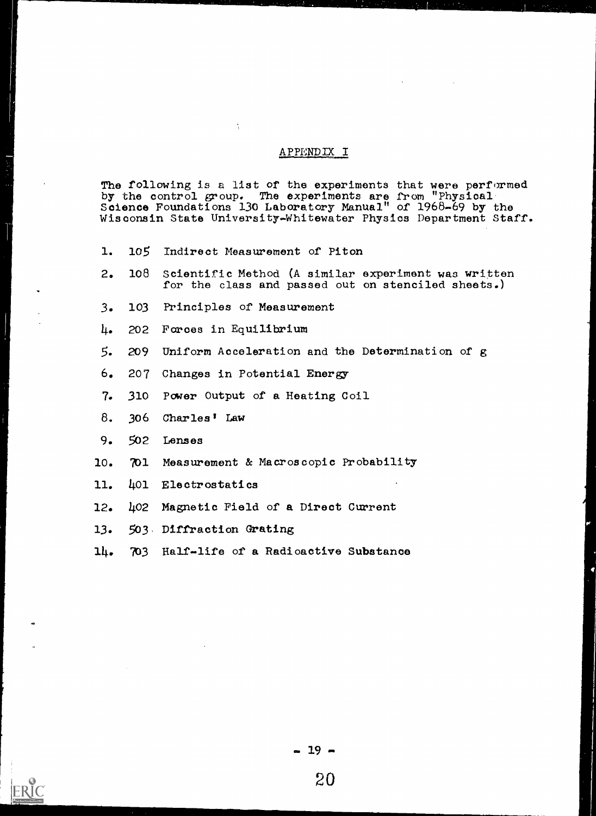#### APPENDIX I

The following is a list of the experiments that were performed by the control group. The experiments are from "Physical. Science Foundations 130 Laboratory Manual" of 1968-69 by the Wisconsin State University-Whitewater Physics Department Staff.

1. 105 Indirect Measurement of Piton

 $\tilde{\mathcal{A}}$ 

- 2. 108 Scientific Method (A similar experiment was written for the class and passed out on stenciled sheets.)
- 3. 103 Principles of Measurement
- 4. 202 Forces in Equilibrium
- 5. 209 Uniform Acceleration and the Determination of g
- 6. 207 Changes in Potential Energy
- 7. 310 Power Output of a Heating Coil
- 8. 306 Charles' Law
- 9. 502 Lenses
- 10. 701 Measurement & Macroscopic Probability
- 11. 401 Electrostatics
- 12. 402 Magnetic Field of a Direct Current
- 13. 503, Diffraction Grating
- 14. 703 Half-life of a Radioactive Substance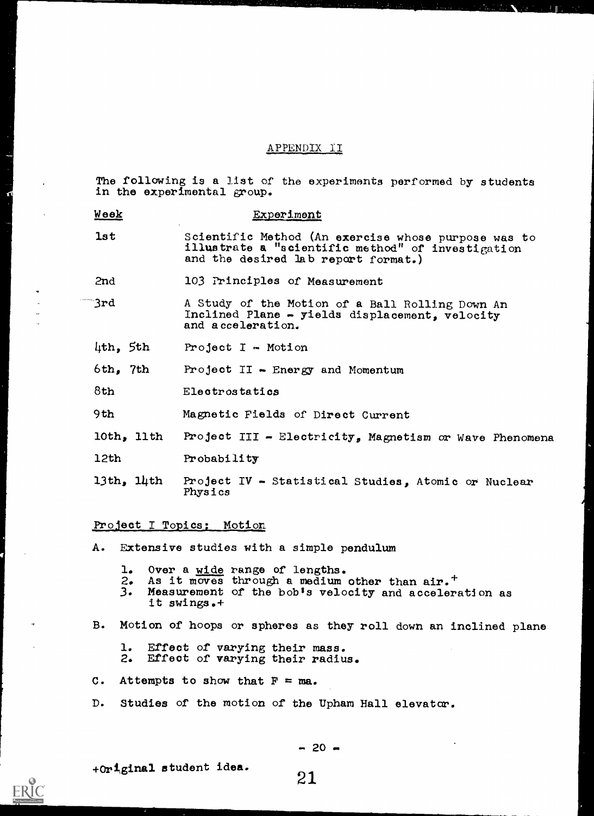#### APPENDIX II

The following is a list of the experiments performed by students in the experimental group.

| <u>Week</u> | Experiment                                                                                                                                      |
|-------------|-------------------------------------------------------------------------------------------------------------------------------------------------|
| 1st         | Scientific Method (An exercise whose purpose was to<br>illustrate a "scientific method" of investigation<br>and the desired lab report format.) |
| 2nd         | 103 Principles of Measurement                                                                                                                   |
| `3rd        | A Study of the Motion of a Ball Rolling Down An<br>Inclined Plane - yields displacement, velocity<br>and acceleration.                          |
| 4th, 5th    | Project $I$ - Motion                                                                                                                            |
| $6th$ , 7th | Project $II$ - Energy and Momentum                                                                                                              |
| 8th         | Electrostatics                                                                                                                                  |
| 9th         | Magnetic Fields of Direct Current                                                                                                               |
| 10th, 11th  | Project III - Electricity, Magnetism or Wave Phenomena                                                                                          |
| 12th        | Probability                                                                                                                                     |
| 13th, 14th  | Project IV - Statistical Studies, Atomic or Nuclear<br>Physics                                                                                  |
|             |                                                                                                                                                 |

Project I Topics: Motion

Ø

ERIC

A. Extensive studies with a simple pendulum

- 1. Over a wide range of lengths.
- 2. As it moves through a medium other than  $air.^+$
- 3. Measurement of the bob's velocity and acceleration as it swings.+
- B. Motion of hoops or spheres as they roll down an inclined plane
	- 1. Effect of varying their mass.
	- 2. Effect of varying their radius.
- C. Attempts to show that  $F = ma$ .
- D. Studies of the motion of the Upham Hall elevator.

 $- 20 -$ 

+Orizinal student idea.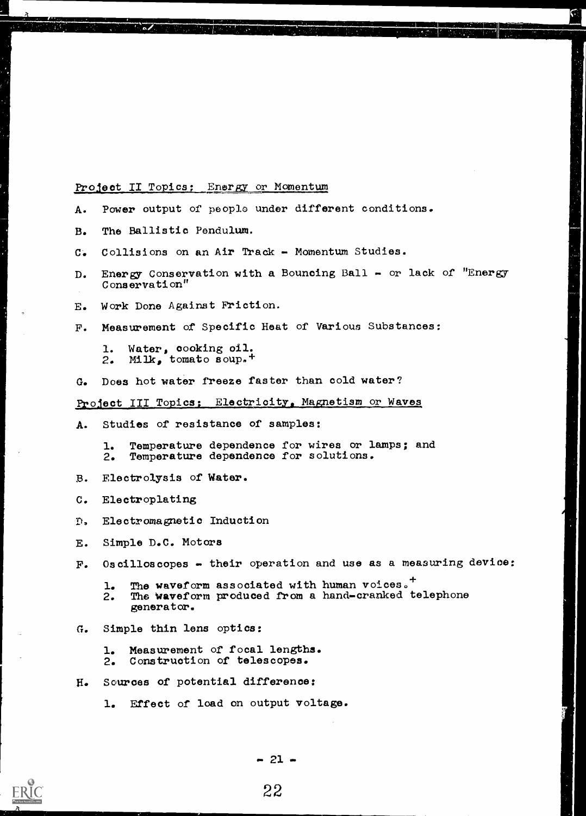### Project II Topics: Energy or Momentum

- A. Power output of people under different conditions.
- B. The Ballistic Pendulum.
- C. Collisions on an Air Track Momentum Studies.
- D. Energy Conservation with a Bouncing Ball or lack of "Energy Conservation"
- E. Work Done Against Friction.
- F. Measurement of Specific Heat of Various Substances;
	- 1. Water, cooking oil. 2. Milk, tomato soup.<sup>+</sup>
- G. Does hot water freeze faster than cold water?

## Project III Topics: Electrioity, Magnetism or Waves

- A. Studies of resistance of samples:
	- 1. Temperature dependence for wires or lamps; and 2. Temperature dependence for solutions.
- B. Electrolysis of Water.
- C. Electroplating
- D. Electromagnetic Induction
- E. Simple D.C. Motors
- F. Oscilloscopes their operation and use as a measuring device:
	- 1. The waveform associated with human voices.<sup>+</sup> 2. Ths waveform produced from a hand-cranked telephone generator.
- G. Simple thin lens optics:
	- 1. Measurement of focal lengths. 2. Construction of telescopes.
- H. Sources of potential difference:
	- 1. Effect of load on output voltage.

 $-21 -$